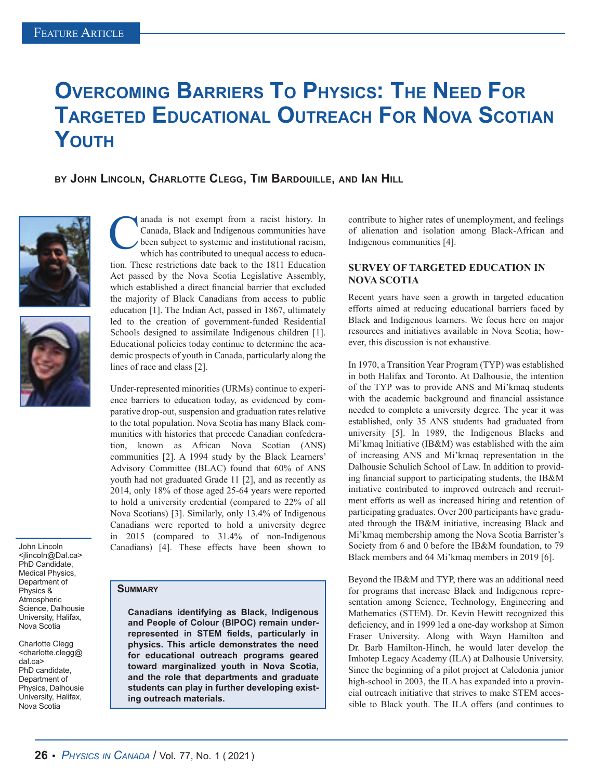# **Overcoming Barriers To Physics: The Need For Targeted Educational Outreach For Nova Scotian Youth**

**by John Lincoln, Charlotte Clegg, Tim Bardouille, and Ian Hill**





John Lincoln <jlincoln@Dal.ca> PhD Candidate, Medical Physics, Department of Physics & Atmospheric Science, Dalhousie University, Halifax, Nova Scotia

Charlotte Clegg <charlotte.clegg@ dal.ca> PhD candidate, Department of Physics, Dalhousie University, Halifax, Nova Scotia

anada is not exempt from a racist history. In Canada, Black and Indigenous communities have been subject to systemic and institutional racism, which has contributed to unequal access to education. These restrictions date back to the 1811 Education Act passed by the Nova Scotia Legislative Assembly, which established a direct financial barrier that excluded the majority of Black Canadians from access to public education [1]. The Indian Act, passed in 1867, ultimately led to the creation of government-funded Residential Schools designed to assimilate Indigenous children [1]. Educational policies today continue to determine the academic prospects of youth in Canada, particularly along the lines of race and class [2].

Under-represented minorities (URMs) continue to experience barriers to education today, as evidenced by comparative drop-out, suspension and graduation rates relative to the total population. Nova Scotia has many Black communities with histories that precede Canadian confederation, known as African Nova Scotian (ANS) communities [2]. A 1994 study by the Black Learners' Advisory Committee (BLAC) found that 60% of ANS youth had not graduated Grade 11 [2], and as recently as 2014, only 18% of those aged 25-64 years were reported to hold a university credential (compared to 22% of all Nova Scotians) [3]. Similarly, only 13.4% of Indigenous Canadians were reported to hold a university degree in 2015 (compared to 31.4% of non-Indigenous Canadians) [4]. These effects have been shown to

#### **Summary**

**Canadians identifying as Black, Indigenous and People of Colour (BIPOC) remain underrepresented in STEM fields, particularly in physics. This article demonstrates the need for educational outreach programs geared toward marginalized youth in Nova Scotia, and the role that departments and graduate students can play in further developing existing outreach materials.**

contribute to higher rates of unemployment, and feelings of alienation and isolation among Black-African and Indigenous communities [4].

#### **SURVEY OF TARGETED EDUCATION IN NOVA SCOTIA**

Recent years have seen a growth in targeted education efforts aimed at reducing educational barriers faced by Black and Indigenous learners. We focus here on major resources and initiatives available in Nova Scotia; however, this discussion is not exhaustive.

In 1970, a Transition Year Program (TYP) was established in both Halifax and Toronto. At Dalhousie, the intention of the TYP was to provide ANS and Mi'kmaq students with the academic background and financial assistance needed to complete a university degree. The year it was established, only 35 ANS students had graduated from university [5]. In 1989, the Indigenous Blacks and Mi'kmaq Initiative (IB&M) was established with the aim of increasing ANS and Mi'kmaq representation in the Dalhousie Schulich School of Law. In addition to providing financial support to participating students, the IB&M initiative contributed to improved outreach and recruitment efforts as well as increased hiring and retention of participating graduates. Over 200 participants have graduated through the IB&M initiative, increasing Black and Mi'kmaq membership among the Nova Scotia Barrister's Society from 6 and 0 before the IB&M foundation, to 79 Black members and 64 Mi'kmaq members in 2019 [6].

Beyond the IB&M and TYP, there was an additional need for programs that increase Black and Indigenous representation among Science, Technology, Engineering and Mathematics (STEM). Dr. Kevin Hewitt recognized this deficiency, and in 1999 led a one-day workshop at Simon Fraser University. Along with Wayn Hamilton and Dr. Barb Hamilton-Hinch, he would later develop the Imhotep Legacy Academy (ILA) at Dalhousie University. Since the beginning of a pilot project at Caledonia junior high-school in 2003, the ILA has expanded into a provincial outreach initiative that strives to make STEM accessible to Black youth. The ILA offers (and continues to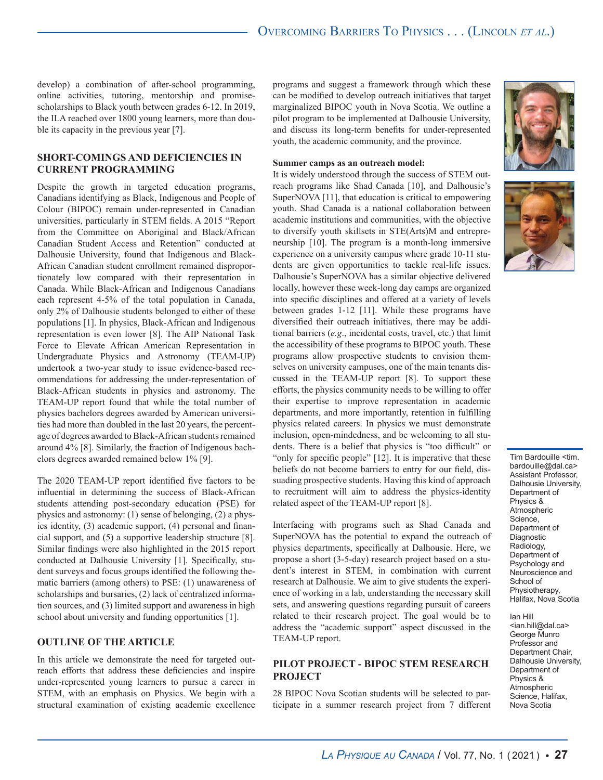develop) a combination of after-school programming, online activities, tutoring, mentorship and promisescholarships to Black youth between grades 6-12. In 2019, the ILA reached over 1800 young learners, more than double its capacity in the previous year [7].

# **SHORT-COMINGS AND DEFICIENCIES IN CURRENT PROGRAMMING**

Despite the growth in targeted education programs, Canadians identifying as Black, Indigenous and People of Colour (BIPOC) remain under-represented in Canadian universities, particularly in STEM fields. A 2015 "Report from the Committee on Aboriginal and Black/African Canadian Student Access and Retention" conducted at Dalhousie University, found that Indigenous and Black-African Canadian student enrollment remained disproportionately low compared with their representation in Canada. While Black-African and Indigenous Canadians each represent 4-5% of the total population in Canada, only 2% of Dalhousie students belonged to either of these populations [1]. In physics, Black-African and Indigenous representation is even lower [8]. The AIP National Task Force to Elevate African American Representation in Undergraduate Physics and Astronomy (TEAM-UP) undertook a two-year study to issue evidence-based recommendations for addressing the under-representation of Black-African students in physics and astronomy. The TEAM-UP report found that while the total number of physics bachelors degrees awarded by American universities had more than doubled in the last 20 years, the percentage of degrees awarded to Black-African students remained around 4% [8]. Similarly, the fraction of Indigenous bachelors degrees awarded remained below 1% [9].

The 2020 TEAM-UP report identified five factors to be influential in determining the success of Black-African students attending post-secondary education (PSE) for physics and astronomy: (1) sense of belonging, (2) a physics identity, (3) academic support, (4) personal and financial support, and (5) a supportive leadership structure [8]. Similar findings were also highlighted in the 2015 report conducted at Dalhousie University [1]. Specifically, student surveys and focus groups identified the following thematic barriers (among others) to PSE: (1) unawareness of scholarships and bursaries, (2) lack of centralized information sources, and (3) limited support and awareness in high school about university and funding opportunities [1].

# **OUTLINE OF THE ARTICLE**

In this article we demonstrate the need for targeted outreach efforts that address these deficiencies and inspire under-represented young learners to pursue a career in STEM, with an emphasis on Physics. We begin with a structural examination of existing academic excellence

programs and suggest a framework through which these can be modified to develop outreach initiatives that target marginalized BIPOC youth in Nova Scotia. We outline a pilot program to be implemented at Dalhousie University, and discuss its long-term benefits for under-represented youth, the academic community, and the province.

#### **Summer camps as an outreach model:**

It is widely understood through the success of STEM outreach programs like Shad Canada [10], and Dalhousie's SuperNOVA [11], that education is critical to empowering youth. Shad Canada is a national collaboration between academic institutions and communities, with the objective to diversify youth skillsets in STE(Arts)M and entrepreneurship [10]. The program is a month-long immersive experience on a university campus where grade 10-11 students are given opportunities to tackle real-life issues. Dalhousie's SuperNOVA has a similar objective delivered locally, however these week-long day camps are organized into specific disciplines and offered at a variety of levels between grades 1-12 [11]. While these programs have diversified their outreach initiatives, there may be additional barriers (*e.g*., incidental costs, travel, etc.) that limit the accessibility of these programs to BIPOC youth. These programs allow prospective students to envision themselves on university campuses, one of the main tenants discussed in the TEAM-UP report [8]. To support these efforts, the physics community needs to be willing to offer their expertise to improve representation in academic departments, and more importantly, retention in fulfilling physics related careers. In physics we must demonstrate inclusion, open-mindedness, and be welcoming to all students. There is a belief that physics is "too difficult" or "only for specific people" [12]. It is imperative that these beliefs do not become barriers to entry for our field, dissuading prospective students. Having this kind of approach to recruitment will aim to address the physics-identity related aspect of the TEAM-UP report [8].

Interfacing with programs such as Shad Canada and SuperNOVA has the potential to expand the outreach of physics departments, specifically at Dalhousie. Here, we propose a short (3-5-day) research project based on a student's interest in STEM, in combination with current research at Dalhousie. We aim to give students the experience of working in a lab, understanding the necessary skill sets, and answering questions regarding pursuit of careers related to their research project. The goal would be to address the "academic support" aspect discussed in the TEAM-UP report.

# **PILOT PROJECT - BIPOC STEM RESEARCH PROJECT**

28 BIPOC Nova Scotian students will be selected to participate in a summer research project from 7 different





Tim Bardouille <tim. bardouille@dal.ca> Assistant Professor, Dalhousie University, Department of Physics & **Atmospheric** Science, Department of Diagnostic Radiology, Department of Psychology and Neuroscience and School of Physiotherapy, Halifax, Nova Scotia

Ian Hill <ian.hill@dal.ca> George Munro Professor and Department Chair, Dalhousie University, Department of Physics & Atmospheric Science, Halifax, Nova Scotia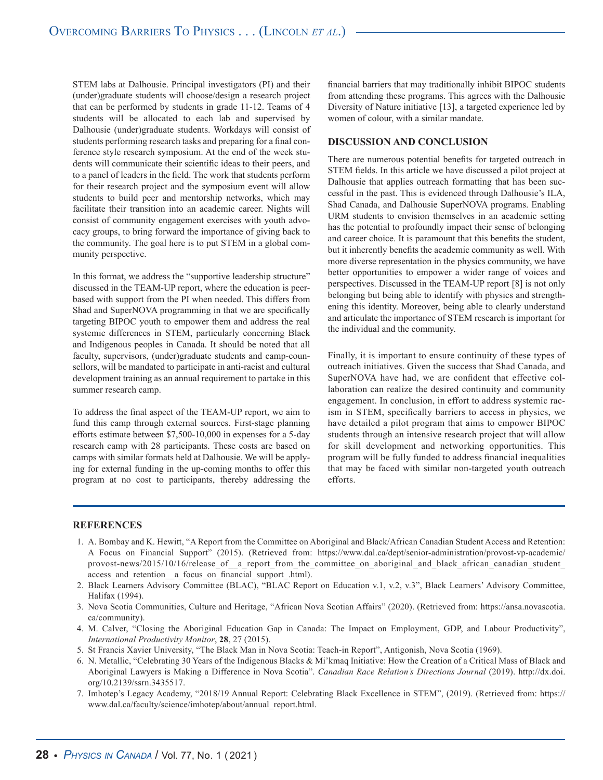STEM labs at Dalhousie. Principal investigators (PI) and their (under)graduate students will choose/design a research project that can be performed by students in grade 11-12. Teams of 4 students will be allocated to each lab and supervised by Dalhousie (under)graduate students. Workdays will consist of students performing research tasks and preparing for a final conference style research symposium. At the end of the week students will communicate their scientific ideas to their peers, and to a panel of leaders in the field. The work that students perform for their research project and the symposium event will allow students to build peer and mentorship networks, which may facilitate their transition into an academic career. Nights will consist of community engagement exercises with youth advocacy groups, to bring forward the importance of giving back to the community. The goal here is to put STEM in a global community perspective.

In this format, we address the "supportive leadership structure" discussed in the TEAM-UP report, where the education is peerbased with support from the PI when needed. This differs from Shad and SuperNOVA programming in that we are specifically targeting BIPOC youth to empower them and address the real systemic differences in STEM, particularly concerning Black and Indigenous peoples in Canada. It should be noted that all faculty, supervisors, (under)graduate students and camp-counsellors, will be mandated to participate in anti-racist and cultural development training as an annual requirement to partake in this summer research camp.

To address the final aspect of the TEAM-UP report, we aim to fund this camp through external sources. First-stage planning efforts estimate between \$7,500-10,000 in expenses for a 5-day research camp with 28 participants. These costs are based on camps with similar formats held at Dalhousie. We will be applying for external funding in the up-coming months to offer this program at no cost to participants, thereby addressing the financial barriers that may traditionally inhibit BIPOC students from attending these programs. This agrees with the Dalhousie Diversity of Nature initiative [13], a targeted experience led by women of colour, with a similar mandate.

# **DISCUSSION AND CONCLUSION**

There are numerous potential benefits for targeted outreach in STEM fields. In this article we have discussed a pilot project at Dalhousie that applies outreach formatting that has been successful in the past. This is evidenced through Dalhousie's ILA, Shad Canada, and Dalhousie SuperNOVA programs. Enabling URM students to envision themselves in an academic setting has the potential to profoundly impact their sense of belonging and career choice. It is paramount that this benefits the student, but it inherently benefits the academic community as well. With more diverse representation in the physics community, we have better opportunities to empower a wider range of voices and perspectives. Discussed in the TEAM-UP report [8] is not only belonging but being able to identify with physics and strengthening this identity. Moreover, being able to clearly understand and articulate the importance of STEM research is important for the individual and the community.

Finally, it is important to ensure continuity of these types of outreach initiatives. Given the success that Shad Canada, and SuperNOVA have had, we are confident that effective collaboration can realize the desired continuity and community engagement. In conclusion, in effort to address systemic racism in STEM, specifically barriers to access in physics, we have detailed a pilot program that aims to empower BIPOC students through an intensive research project that will allow for skill development and networking opportunities. This program will be fully funded to address financial inequalities that may be faced with similar non-targeted youth outreach efforts.

#### **REFERENCES**

- 1. A. Bombay and K. Hewitt, "A Report from the Committee on Aboriginal and Black/African Canadian Student Access and Retention: A Focus on Financial Support" (2015). (Retrieved from: https://www.dal.ca/dept/senior-administration/provost-vp-academic/ provost-news/2015/10/16/release of a report from the committee on aboriginal and black african canadian student access and retention a focus on financial support .html).
- 2. Black Learners Advisory Committee (BLAC), "BLAC Report on Education v.1, v.2, v.3", Black Learners' Advisory Committee, Halifax (1994).
- 3. Nova Scotia Communities, Culture and Heritage, "African Nova Scotian Affairs" (2020). (Retrieved from: https://ansa.novascotia. ca/community).
- 4. M. Calver, "Closing the Aboriginal Education Gap in Canada: The Impact on Employment, GDP, and Labour Productivity", *International Productivity Monitor*, **28**, 27 (2015).
- 5. St Francis Xavier University, "The Black Man in Nova Scotia: Teach-in Report", Antigonish, Nova Scotia (1969).
- 6. N. Metallic, "Celebrating 30 Years of the Indigenous Blacks & Mi'kmaq Initiative: How the Creation of a Critical Mass of Black and Aboriginal Lawyers is Making a Difference in Nova Scotia". *Canadian Race Relation's Directions Journal* (2019). http://dx.doi. org/10.2139/ssrn.3435517.
- 7. Imhotep's Legacy Academy, "2018/19 Annual Report: Celebrating Black Excellence in STEM", (2019). (Retrieved from: https:// www.dal.ca/faculty/science/imhotep/about/annual\_report.html.